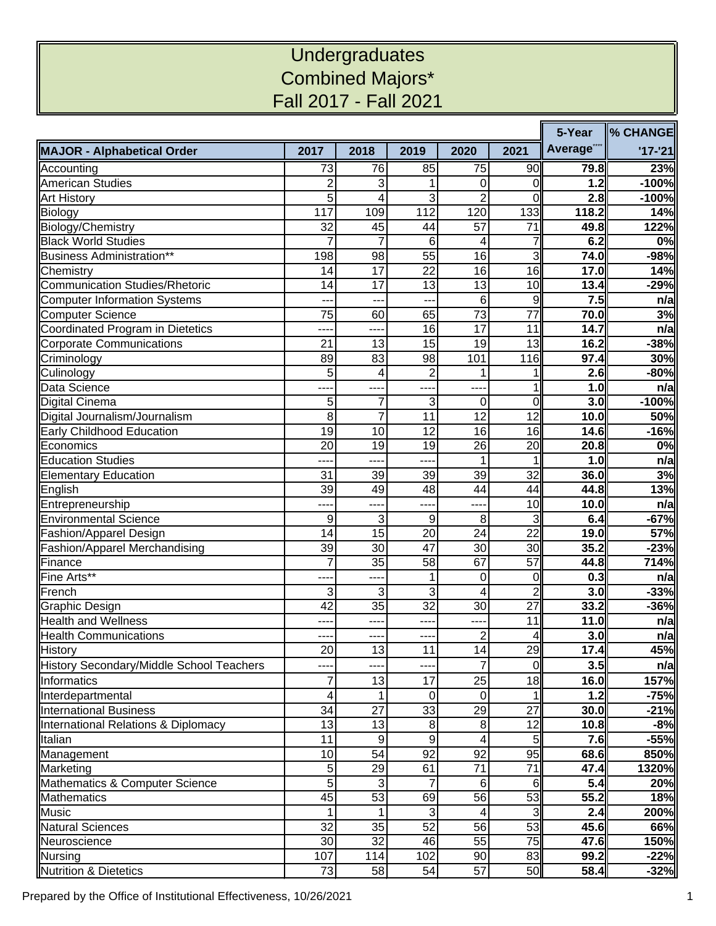## **Undergraduates** Combined Majors\* Fall 2017 - Fall 2021

|                                          |                  |                 |                 |                  |                 |                        | <b>% CHANGE</b> |
|------------------------------------------|------------------|-----------------|-----------------|------------------|-----------------|------------------------|-----------------|
| <b>MAJOR - Alphabetical Order</b>        | 2017             | 2018            | 2019            | 2020             | 2021            | Average <sup>***</sup> | $'17 - '21$     |
| Accounting                               | 73               | 76              | 85              | 75               | 90              | 79.8                   | 23%             |
| <b>American Studies</b>                  | $\overline{2}$   | 3               | 1               | 0                | 0               | 1.2                    | $-100%$         |
| <b>Art History</b>                       | 5                | 4               | 3               | $\overline{2}$   | $\overline{0}$  | 2.8                    | $-100%$         |
| Biology                                  | $11\overline{7}$ | 109             | 112             | 120              | 133             | 118.2                  | 14%             |
| Biology/Chemistry                        | 32               | 45              | 44              | 57               | $\overline{71}$ | 49.8                   | 122%            |
| <b>Black World Studies</b>               | $\overline{7}$   | $\overline{7}$  | 6               | 4                | $\overline{7}$  | 6.2                    | 0%              |
| <b>Business Administration**</b>         | 198              | 98              | 55              | 16               | $\overline{3}$  | 74.0                   | -98%            |
| Chemistry                                | 14               | $\overline{17}$ | $\overline{22}$ | $\overline{16}$  | 16              | 17.0                   | 14%             |
| <b>Communication Studies/Rhetoric</b>    | 14               | 17              | 13              | 13               | 10              | 13.4                   | $-29%$          |
| <b>Computer Information Systems</b>      |                  |                 |                 | $6\phantom{1}$   | 9               | 7.5                    | n/a             |
| Computer Science                         | 75               | 60              | 65              | 73               | $\overline{77}$ | 70.0                   | 3%              |
| Coordinated Program in Dietetics         | ----             | ----            | 16              | $\overline{17}$  | 11              | 14.7                   | n/a             |
| <b>Corporate Communications</b>          | 21               | $\overline{13}$ | $\overline{15}$ | 19               | 13              | 16.2                   | $-38%$          |
| Criminology                              | 89               | 83              | 98              | 101              | 116             | 97.4                   | 30%             |
| Culinology                               | 5                | 4               | $\overline{c}$  | 1                | 1               | 2.6                    | $-80%$          |
| Data Science                             |                  |                 |                 |                  | 1               | 1.0                    | n/a             |
| <b>Digital Cinema</b>                    | 5                | $\overline{7}$  | 3               | $\mathbf 0$      | $\overline{0}$  | 3.0                    | $-100%$         |
| Digital Journalism/Journalism            | $\infty$         | $\overline{7}$  | 11              | 12               | $\overline{12}$ | 10.0                   | 50%             |
| <b>Early Childhood Education</b>         | 19               | 10              | 12              | 16               | 16              | 14.6                   | $-16%$          |
| Economics                                | 20               | 19              | 19              | 26               | 20              | 20.8                   | 0%              |
| <b>Education Studies</b>                 | ---              | ---             | ----            | 1                |                 | 1.0                    | n/a             |
| <b>Elementary Education</b>              | 31               | 39              | 39              | 39               | 32              | 36.0                   | 3%              |
| English                                  | 39               | 49              | 48              | 44               | 44              | 44.8                   | 13%             |
| Entrepreneurship                         | ---              | ----            | ----            | ---              | 10              | $\overline{1}0.0$      | n/a             |
| <b>Environmental Science</b>             | 9                | 3               | 9               | 8                | $\overline{3}$  | 6.4                    | $-67%$          |
| Fashion/Apparel Design                   | 14               | $\overline{15}$ | 20              | 24               | $\overline{22}$ | 19.0                   | 57%             |
| Fashion/Apparel Merchandising            | 39               | 30              | 47              | 30               | 30              | 35.2                   | $-23%$          |
| Finance                                  | 7                | 35              | 58              | 67               | 57              | 44.8                   | 714%            |
| Fine Arts**                              |                  |                 | 1               | 0                | 0               | 0.3                    | n/a             |
| French                                   | 3                | 3               | 3               | $\overline{4}$   | $\overline{2}$  | 3.0                    | $-33%$          |
| <b>Graphic Design</b>                    | 42               | $\overline{35}$ | 32              | 30               | $\overline{27}$ | 33.2                   | $-36%$          |
| <b>Health and Wellness</b>               | ---              | ---             | ---             | ---              | 11              | 11.0                   | n/a             |
| <b>Health Communications</b>             | ---              | ---             | ----            | $\boldsymbol{2}$ | $\overline{4}$  | 3.0                    | n/a             |
| <b>History</b>                           | $\overline{20}$  | 13              | $\overline{11}$ | 14               | 29              | $\overline{17.4}$      | 45%             |
| History Secondary/Middle School Teachers | ----             | ---             | ----            | $\overline{7}$   | 0               | 3.5                    | n/a             |
| Informatics                              | 7                | 13              | 17              | 25               | 18              | 16.0                   | 157%            |
| Interdepartmental                        | $\vert 4 \vert$  | 1               | $\pmb{0}$       | $\overline{0}$   | $\mathbf{1}$    | 1.2                    | $-75%$          |
| <b>International Business</b>            | 34               | 27              | 33              | 29               | 27              | 30.0                   | $-21%$          |
| International Relations & Diplomacy      | 13               | 13              | $\bf 8$         | $\bf{8}$         | 12              | 10.8                   | $-8%$           |
| <b>Italian</b>                           | 11               | $\overline{9}$  | $\overline{9}$  | 4                | $\overline{5}$  | 7.6                    | $-55%$          |
| Management                               | 10               | 54              | 92              | 92               | 95              | 68.6                   | 850%            |
| Marketing                                | $\overline{5}$   | 29              | 61              | 71               | 71              | 47.4                   | 1320%           |
| Mathematics & Computer Science           | $\overline{5}$   | 3               | $\overline{7}$  | $\,6$            | 6               | 5.4                    | 20%             |
| <b>Mathematics</b>                       | 45               | 53              | 69              | 56               | 53              | 55.2                   | 18%             |
| <b>Music</b>                             | 1                | 1               | 3               | 4                | $\overline{3}$  | 2.4                    | 200%            |
| <b>Natural Sciences</b>                  | 32               | 35              | $\overline{52}$ | 56               | 53              | 45.6                   | 66%             |
| Neuroscience                             | 30               | 32              | 46              | 55               | 75              | 47.6                   | 150%            |
| Nursing                                  | 107              | 114             | 102             | 90               | 83              | 99.2                   | $-22%$          |
| <b>Nutrition &amp; Dietetics</b>         | 73               | 58              | 54              | 57               | 50              | $\overline{58.4}$      | $-32%$          |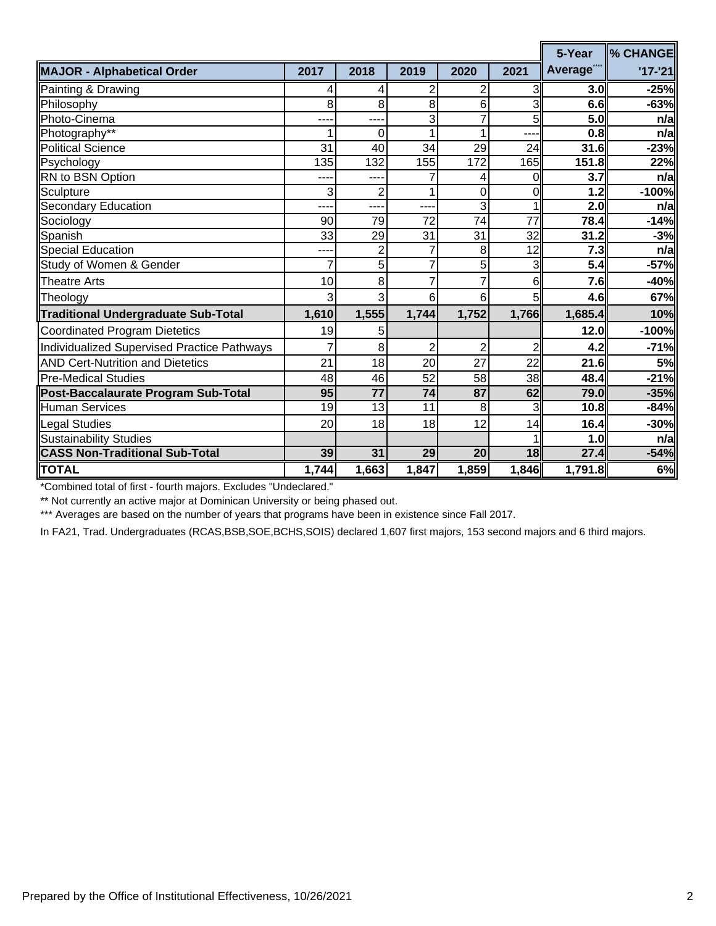|                                             |                 |                 |                  |                 |                 | 5-Year                 | ll% CHANGE  |
|---------------------------------------------|-----------------|-----------------|------------------|-----------------|-----------------|------------------------|-------------|
| <b>MAJOR - Alphabetical Order</b>           | 2017            | 2018            | 2019             | 2020            | 2021            | Average <sup>***</sup> | $'17 - '21$ |
| Painting & Drawing                          | 4               | $\vert 4 \vert$ | 2                | 2               | 3               | 3.0 <sub>l</sub>       | $-25%$      |
| Philosophy                                  | 8               | 8 <sup>1</sup>  | 8                | 6               | 3               | 6.6                    | $-63%$      |
| Photo-Cinema                                | ---             | ---             | 3                | 7               | 5               | 5.0                    | n/a         |
| Photography**                               | 1               | 0               | 1                | 1               | ---             | 0.8                    | n/a         |
| <b>Political Science</b>                    | 31              | 40              | 34               | 29              | 24              | 31.6                   | $-23%$      |
| Psychology                                  | 135             | 132             | 155              | 172             | 165             | 151.8                  | 22%         |
| RN to BSN Option                            |                 | ---             |                  | 4               | $\Omega$        | 3.7                    | n/a         |
| Sculpture                                   | 3               | $\overline{2}$  | 1                | 0               | $\overline{0}$  | 1.2                    | $-100%$     |
| <b>Secondary Education</b>                  | ---             | ---             | ---              | 3               | 1               | 2.0                    | n/a         |
| Sociology                                   | 90              | 79              | 72               | 74              | $\overline{77}$ | 78.4                   | $-14%$      |
| Spanish                                     | 33              | 29              | 31               | 31              | 32              | 31.2                   | $-3%$       |
| Special Education                           |                 | $\overline{2}$  | 7                | 8               | 12              | 7.3                    | n/a         |
| Study of Women & Gender                     | $\overline{7}$  | $\overline{5}$  | $\overline{7}$   | 5               | 3               | $\overline{5.4}$       | $-57%$      |
| <b>Theatre Arts</b>                         | 10              | 8               | 7                | 7               | 6               | <b>7.6</b>             | $-40%$      |
| Theology                                    | 3               | $\overline{3}$  | $6 \overline{6}$ | 6 <sup>1</sup>  | 51              | 4.6                    | 67%         |
| <b>Traditional Undergraduate Sub-Total</b>  | 1,610           | 1,555           | 1,744            | 1,752           | 1,766           | 1,685.4                | 10%         |
| Coordinated Program Dietetics               | 19              | 5               |                  |                 |                 | 12.0                   | $-100%$     |
| Individualized Supervised Practice Pathways | 7               | 8               | 2                | $\overline{2}$  | $\overline{2}$  | 4.2                    | $-71%$      |
| <b>AND Cert-Nutrition and Dietetics</b>     | 21              | 18              | 20               | 27              | 22              | 21.6                   | 5%          |
| Pre-Medical Studies                         | 48              | 46              | $\overline{52}$  | $\overline{58}$ | 38              | 48.4                   | $-21%$      |
| Post-Baccalaurate Program Sub-Total         | 95              | $\overline{77}$ | 74               | 87              | 62              | 79.0                   | $-35%$      |
| <b>Human Services</b>                       | 19              | 13              | 11               | 8 <sup>1</sup>  | 3               | 10.8                   | $-84%$      |
| <b>Legal Studies</b>                        | 20 <sup>1</sup> | 18              | 18               | 12              | 14              | 16.4                   | $-30%$      |
| <b>Sustainability Studies</b>               |                 |                 |                  |                 |                 | 1.0                    | n/a         |
| <b>CASS Non-Traditional Sub-Total</b>       | 39              | 31              | 29               | 20              | 18 <sup>l</sup> | 27.4                   | $-54%$      |
| <b>TOTAL</b>                                | 1,744           | 1,663           | 1,847            | 1,859           | 1,846           | 1,791.8                | 6%          |

\*Combined total of first - fourth majors. Excludes "Undeclared."

\*\* Not currently an active major at Dominican University or being phased out.

\*\*\* Averages are based on the number of years that programs have been in existence since Fall 2017.

In FA21, Trad. Undergraduates (RCAS,BSB,SOE,BCHS,SOIS) declared 1,607 first majors, 153 second majors and 6 third majors.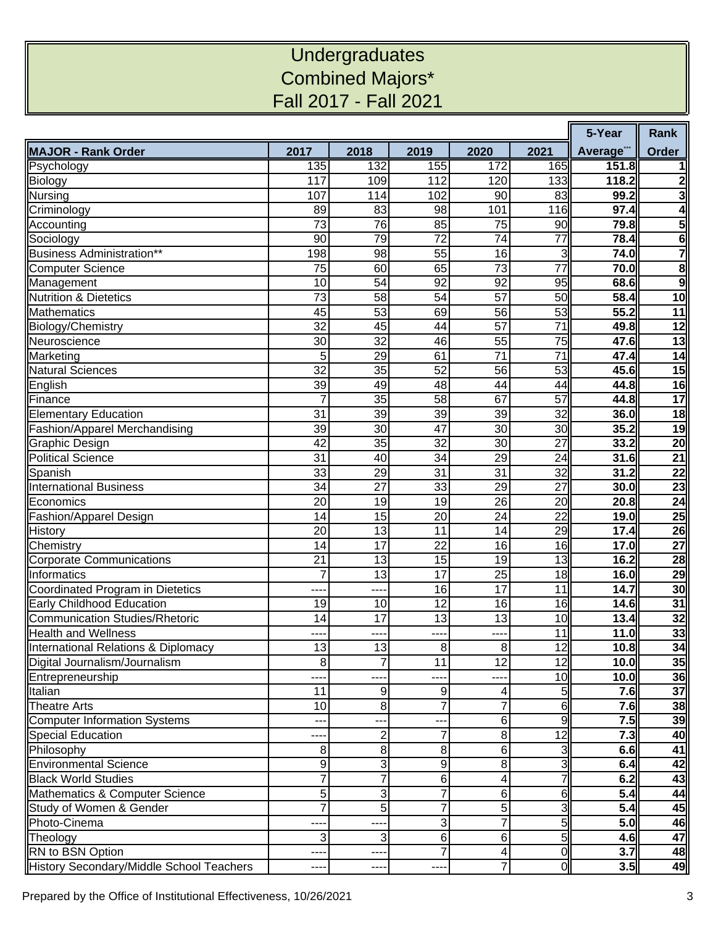## **Undergraduates** Combined Majors\* Fall 2017 - Fall 2021

|                                          |                 |                 |                 |                 |                 |                   | Rank                    |
|------------------------------------------|-----------------|-----------------|-----------------|-----------------|-----------------|-------------------|-------------------------|
| <b>MAJOR - Rank Order</b>                | 2017            | 2018            | 2019            | 2020            | 2021            | Average"          | Order                   |
| Psychology                               | 135             | 132             | 155             | 172             | 165             | 151.8             |                         |
| <b>Biology</b>                           | 117             | 109             | 112             | 120             | 133             | 118.2             | $\overline{\mathbf{c}}$ |
| <b>Nursing</b>                           | 107             | 114             | 102             | 90              | 83              | 99.2              | 3                       |
| Criminology                              | 89              | 83              | 98              | 101             | 116             | 97.4              | 4                       |
| Accounting                               | 73              | 76              | 85              | 75              | 90              | 79.8              | $\overline{\mathbf{5}}$ |
| Sociology                                | 90              | 79              | 72              | 74              | 77              | 78.4              | $6\phantom{a}$          |
| Business Administration**                | 198             | 98              | 55              | 16              | 3               | 74.0              | $\overline{\mathbf{7}}$ |
| <b>Computer Science</b>                  | 75              | 60              | 65              | 73              | $\overline{77}$ | 70.0              | 8                       |
| Management                               | 10              | 54              | 92              | 92              | 95              | 68.6              | 9                       |
| <b>Nutrition &amp; Dietetics</b>         | 73              | 58              | 54              | 57              | 50              | 58.4              | 10                      |
| <b>Mathematics</b>                       | 45              | 53              | 69              | 56              | 53              | $\overline{55.2}$ | 11                      |
| Biology/Chemistry                        | $\overline{32}$ | 45              | 44              | $\overline{57}$ | $\overline{71}$ | 49.8              | $\overline{12}$         |
| Neuroscience                             | 30              | 32              | 46              | 55              | 75              | 47.6              | 13                      |
| Marketing                                | 5               | 29              | 61              | $\overline{71}$ | $\overline{71}$ | 47.4              | $\overline{14}$         |
| <b>Natural Sciences</b>                  | $\overline{32}$ | $\overline{35}$ | 52              | 56              | 53              | 45.6              | 15                      |
| English                                  | 39              | 49              | 48              | 44              | 44              | 44.8              | $\overline{16}$         |
| Finance                                  | 7               | 35              | 58              | 67              | 57              | 44.8              | $\overline{17}$         |
| <b>Elementary Education</b>              | 31              | $\overline{39}$ | 39              | 39              | $\overline{32}$ | 36.0              | $\overline{18}$         |
| Fashion/Apparel Merchandising            | 39              | 30              | 47              | 30              | 30              | 35.2              | 19                      |
| Graphic Design                           | 42              | 35              | 32              | 30              | 27              | 33.2              | 20                      |
| <b>Political Science</b>                 | 31              | 40              | 34              | $\overline{29}$ | 24              | 31.6              | $\overline{21}$         |
| Spanish                                  | 33              | 29              | 31              | 31              | 32              | 31.2              | 22                      |
| <b>International Business</b>            | 34              | 27              | 33              | 29              | 27              | 30.0              | 23                      |
| Economics                                | 20              | 19              | 19              | 26              | 20              | 20.8              | $\overline{24}$         |
| Fashion/Apparel Design                   | 14              | 15              | 20              | 24              | 22              | 19.0              | $\overline{25}$         |
| History                                  | 20              | 13              | 11              | 14              | 29              | 17.4              | $\overline{26}$         |
| Chemistry                                | 14              | 17              | 22              | 16              | 16              | 17.0              | 27                      |
| <b>Corporate Communications</b>          | $\overline{21}$ | 13              | $\overline{15}$ | 19              | 13              | 16.2              | $\overline{28}$         |
| Informatics                              | 7               | 13              | 17              | 25              | 18              | 16.0              | $\overline{29}$         |
| Coordinated Program in Dietetics         | ---             | ----            | 16              | 17              | 11              | 14.7              | 30                      |
| Early Childhood Education                | 19              | 10              | 12              | 16              | 16              | 14.6              | $\overline{31}$         |
| Communication Studies/Rhetoric           | 14              | 17              | 13              | 13              | 10              | 13.4              | 32                      |
| <b>Health and Wellness</b>               |                 | ---             | ---             | ---             | 11              | 11.0              | 33                      |
| International Relations & Diplomacy      | 13              | 13              | 8               | 8               | 12              | 10.8              | 34                      |
| Digital Journalism/Journalism            | 8               | 7               | 11              | $\overline{12}$ | $\overline{12}$ | 10.0              | 35                      |
| Entrepreneurship                         |                 |                 |                 |                 | 10              | 10.0              | 36                      |
| Italian                                  | 11              | 9               | 9               | 4               | 51              | 7.6               | 37                      |
| <b>Theatre Arts</b>                      | 10              | 8               | 7               | 7               | 6               | 7.6               | 38                      |
| Computer Information Systems             |                 | ---             |                 | 6               | 9               | 7.5               | 39                      |
| Special Education                        | ---             | $\mathbf 2$     | 7               | 8               | 12              | 7.3               | 40                      |
| Philosophy                               | 8               | 8               | 8               | 6               | 3               | 6.6               | 41                      |
| <b>Environmental Science</b>             | 9               | 3               | 9               | 8               | 3               | 6.4               | 42                      |
| <b>Black World Studies</b>               |                 | $\overline{7}$  | 6               | 4               |                 | 6.2               | 43                      |
| Mathematics & Computer Science           | 5               | 3               | 7               | 6               | 6               | 5.4               | 44                      |
| Study of Women & Gender                  |                 | 5               | 7               | 5               |                 | 5.4               | 45                      |
| Photo-Cinema                             | ---             | ---             | 3               | $\overline{7}$  | 5               | 5.0               | 46                      |
| Theology                                 | 3               | 3               | 6               | 6               | 51              | 4.6               | 47                      |
| RN to BSN Option                         | ---             | ----            |                 | 4               | $\overline{0}$  | 3.7               | 48                      |
| History Secondary/Middle School Teachers | ---             | ----            |                 | 7               | $\overline{0}$  | $\overline{3.5}$  | 49                      |